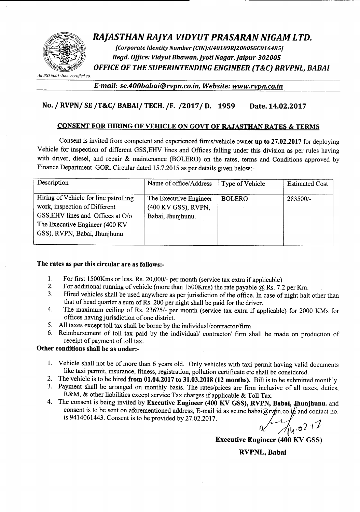

# *RAJASTHAN RAJYA VIDYUT PRASARAN NIGAM LTD.*

*[Corporate Identity Number (CIN):U40109R]2000SGC016485] Regd. Office: Vidyut Bhawan, Jyoti Nagar, Jaipur-302005 OFFICE OF THE SUPERINTENDING ENGINEER (T&C) RRVPNL, RABAI*

*All ISO Y()O*I*:JOOOcertified co.*

*E-mail:-se.400babai@rvpn.co.in. Website: www.rvpn.co.in*

## No. *I* RVPNI SE *IT&CI* BABAII TECH.*IF. 120171* D. 1959 Date. 14.02.2017

### CONSENT FOR HIRING OF VEHICLE ON GOVT OF RAJASTHAN RATES & TERMS

Consent is invited from competent and experienced firms/vehicle owner up to 27.02.2017 for deploying Vehicle for inspection of different GSS,EHV lines and Offices falling under this division as per rules having with driver, diesel, and repair & maintenance (BOLERO) on the rates, terms and Conditions approved by Finance Department GOR. Circular dated 15.7.2015 as per details given below:-

| Description                                                                                                                                                                     | Name of office/Address                                             | Type of Vehicle | <b>Estimated Cost</b> |
|---------------------------------------------------------------------------------------------------------------------------------------------------------------------------------|--------------------------------------------------------------------|-----------------|-----------------------|
| Hiring of Vehicle for line patrolling<br>work, inspection of Different<br>GSS, EHV lines and Offices at O/o<br>The Executive Engineer (400 KV)<br>GSS), RVPN, Babai, Jhunjhunu. | The Executive Engineer<br>(400 KV GSS), RVPN,<br>Babai, Jhunjhunu. | <b>BOLERO</b>   | $283500/-$            |

## The rates as per this circular are as follows:-

- 1. For first 1500Kms or less, Rs. 20,000/- per month (service tax extra if applicable)<br>2. For additional running of vehicle (more than 1500Kms) the rate payable  $\omega$  Rs. 7.
- 2. For additional running of vehicle (more than 1500 Kms) the rate payable  $@$  Rs. 7.2 per Km.<br>3. Hired vehicles shall be used anywhere as per jurisdiction of the office. In case of night half
- Hired vehicles shall be used anywhere as per jurisdiction of the office. In case of night halt other than that of head quarter a sum of Rs. 200 per night shall be paid for the driver.
- 4. The maximum ceiling of Rs. 23625/- per month (service tax extra if applicable) for 2000 KMs for offices having jurisdiction of one district.
- 5. All taxes except toll tax shall be borne by the individual/contractor/firm.
- 6. Reimbursement of toll tax paid by the individual/ contractor/ firm shall be made on production of receipt of payment of toll tax.

#### Other conditions shall be as under:-

- 1. Vehicle shall not be of more than 6 years old. Only vehicles with taxi permit having valid documents like taxi permit, insurance, fitness, registration, pollution certificate etc shall be considered.
- 2. The vehicle is to be hired from 01.04.2017 to 31.03.2018 (12 months). Bill is to be submitted monthly
- 3. Payment shall be arranged on monthly basis. The rates/prices are firm inclusive of all taxes, duties, R&M, & other liabilities except service Tax charges if applicable & Toll Tax.
- 4. The consent is being invited by Executive Engineer (400 KV GSS), RVPN, Babai, Jhunjhunu. and consent is to be sent on aforementioned address, E-mail id as se.tnc.babai@rvpn.co.in and contact no. is 9414061443. Consent is to be provided by  $27.02.2017$ .

*ll.(,·07·'*

Executive Engineer (400.KV GSS)

RVPNL, Babai